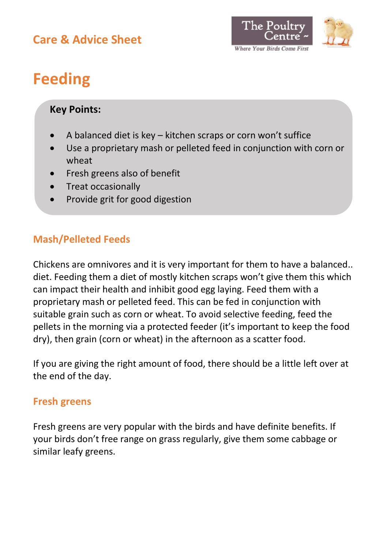# **Care & Advice Sheet**



# **Feeding**

# **Key Points:**

- A balanced diet is key kitchen scraps or corn won't suffice
- Use a proprietary mash or pelleted feed in conjunction with corn or wheat
- Fresh greens also of benefit
- Treat occasionally
- Provide grit for good digestion

# **Mash/Pelleted Feeds**

Chickens are omnivores and it is very important for them to have a balanced.. diet. Feeding them a diet of mostly kitchen scraps won't give them this which can impact their health and inhibit good egg laying. Feed them with a proprietary mash or pelleted feed. This can be fed in conjunction with suitable grain such as corn or wheat. To avoid selective feeding, feed the pellets in the morning via a protected feeder (it's important to keep the food dry), then grain (corn or wheat) in the afternoon as a scatter food.

If you are giving the right amount of food, there should be a little left over at the end of the day.

# **Fresh greens**

Fresh greens are very popular with the birds and have definite benefits. If your birds don't free range on grass regularly, give them some cabbage or similar leafy greens.